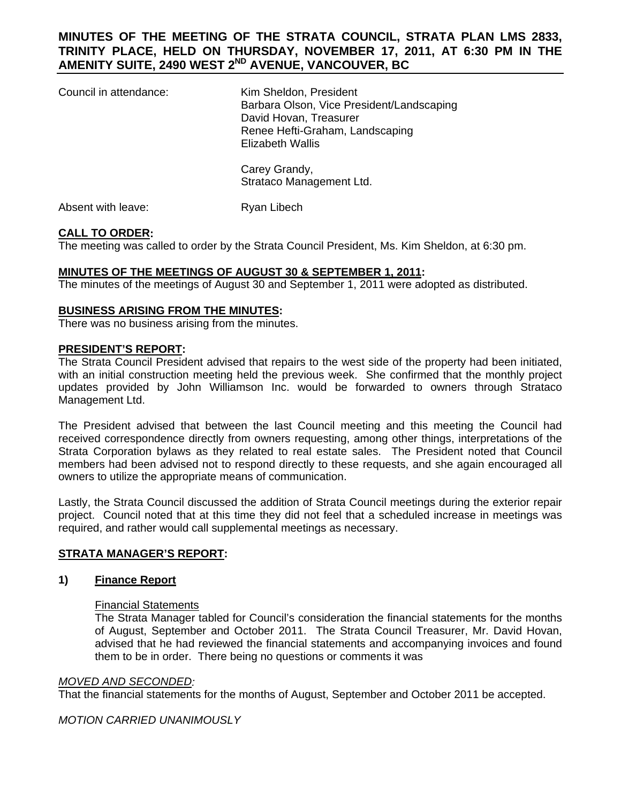# **MINUTES OF THE MEETING OF THE STRATA COUNCIL, STRATA PLAN LMS 2833, TRINITY PLACE, HELD ON THURSDAY, NOVEMBER 17, 2011, AT 6:30 PM IN THE AMENITY SUITE, 2490 WEST 2ND AVENUE, VANCOUVER, BC**

| Council in attendance: | Kim Sheldon, President<br>Barbara Olson, Vice President/Landscaping<br>David Hovan, Treasurer<br>Renee Hefti-Graham, Landscaping<br><b>Elizabeth Wallis</b> |
|------------------------|-------------------------------------------------------------------------------------------------------------------------------------------------------------|
|                        | Carey Grandy,<br>Strataco Management Ltd.                                                                                                                   |

Absent with leave: Ryan Libech

# **CALL TO ORDER:**

The meeting was called to order by the Strata Council President, Ms. Kim Sheldon, at 6:30 pm.

## **MINUTES OF THE MEETINGS OF AUGUST 30 & SEPTEMBER 1, 2011:**

The minutes of the meetings of August 30 and September 1, 2011 were adopted as distributed.

## **BUSINESS ARISING FROM THE MINUTES:**

There was no business arising from the minutes.

#### **PRESIDENT'S REPORT:**

The Strata Council President advised that repairs to the west side of the property had been initiated, with an initial construction meeting held the previous week. She confirmed that the monthly project updates provided by John Williamson Inc. would be forwarded to owners through Strataco Management Ltd.

The President advised that between the last Council meeting and this meeting the Council had received correspondence directly from owners requesting, among other things, interpretations of the Strata Corporation bylaws as they related to real estate sales. The President noted that Council members had been advised not to respond directly to these requests, and she again encouraged all owners to utilize the appropriate means of communication.

Lastly, the Strata Council discussed the addition of Strata Council meetings during the exterior repair project. Council noted that at this time they did not feel that a scheduled increase in meetings was required, and rather would call supplemental meetings as necessary.

## **STRATA MANAGER'S REPORT:**

## **1) Finance Report**

## Financial Statements

 The Strata Manager tabled for Council's consideration the financial statements for the months of August, September and October 2011. The Strata Council Treasurer, Mr. David Hovan, advised that he had reviewed the financial statements and accompanying invoices and found them to be in order. There being no questions or comments it was

## *MOVED AND SECONDED:*

That the financial statements for the months of August, September and October 2011 be accepted.

## *MOTION CARRIED UNANIMOUSLY*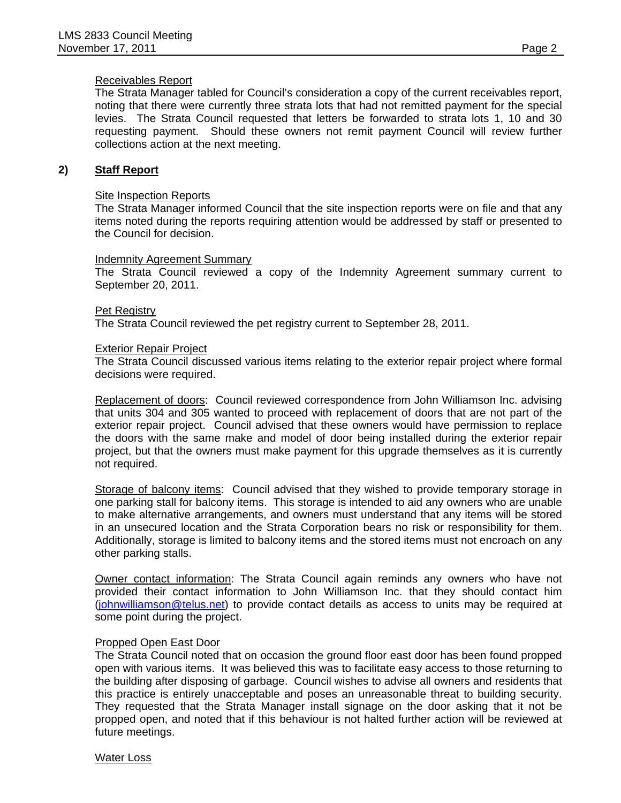# Receivables Report

 The Strata Manager tabled for Council's consideration a copy of the current receivables report, noting that there were currently three strata lots that had not remitted payment for the special levies. The Strata Council requested that letters be forwarded to strata lots 1, 10 and 30 requesting payment. Should these owners not remit payment Council will review further collections action at the next meeting.

## **2) Staff Report**

## Site Inspection Reports

 The Strata Manager informed Council that the site inspection reports were on file and that any items noted during the reports requiring attention would be addressed by staff or presented to the Council for decision.

## Indemnity Agreement Summary

 The Strata Council reviewed a copy of the Indemnity Agreement summary current to September 20, 2011.

## Pet Registry

The Strata Council reviewed the pet registry current to September 28, 2011.

## Exterior Repair Project

 The Strata Council discussed various items relating to the exterior repair project where formal decisions were required.

Replacement of doors: Council reviewed correspondence from John Williamson Inc. advising that units 304 and 305 wanted to proceed with replacement of doors that are not part of the exterior repair project. Council advised that these owners would have permission to replace the doors with the same make and model of door being installed during the exterior repair project, but that the owners must make payment for this upgrade themselves as it is currently not required.

Storage of balcony items: Council advised that they wished to provide temporary storage in one parking stall for balcony items. This storage is intended to aid any owners who are unable to make alternative arrangements, and owners must understand that any items will be stored in an unsecured location and the Strata Corporation bears no risk or responsibility for them. Additionally, storage is limited to balcony items and the stored items must not encroach on any other parking stalls.

Owner contact information: The Strata Council again reminds any owners who have not provided their contact information to John Williamson Inc. that they should contact him [\(johnwilliamson@telus.net\)](mailto:johnwilliamson@telus.net) to provide contact details as access to units may be required at some point during the project.

## Propped Open East Door

The Strata Council noted that on occasion the ground floor east door has been found propped open with various items. It was believed this was to facilitate easy access to those returning to the building after disposing of garbage. Council wishes to advise all owners and residents that this practice is entirely unacceptable and poses an unreasonable threat to building security. They requested that the Strata Manager install signage on the door asking that it not be propped open, and noted that if this behaviour is not halted further action will be reviewed at future meetings.

## Water Loss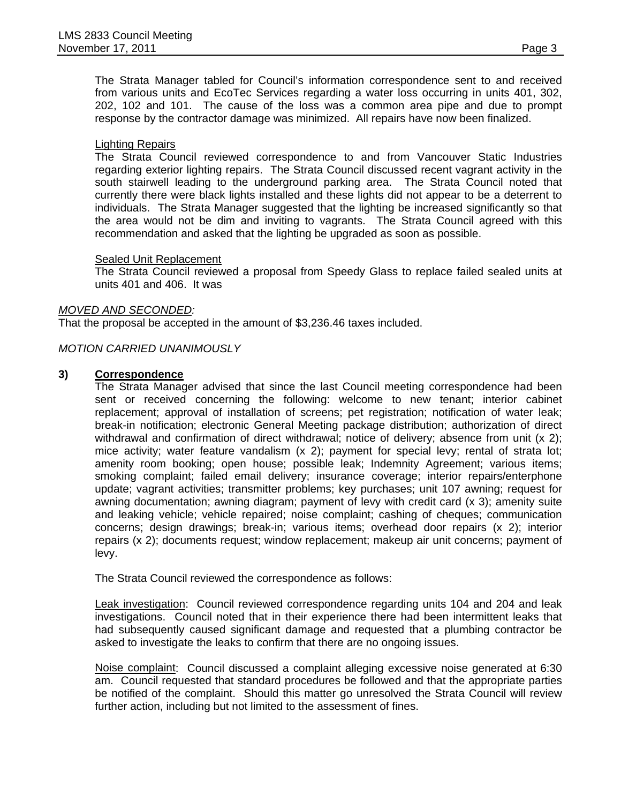The Strata Manager tabled for Council's information correspondence sent to and received from various units and EcoTec Services regarding a water loss occurring in units 401, 302, 202, 102 and 101. The cause of the loss was a common area pipe and due to prompt response by the contractor damage was minimized. All repairs have now been finalized.

## Lighting Repairs

 The Strata Council reviewed correspondence to and from Vancouver Static Industries regarding exterior lighting repairs. The Strata Council discussed recent vagrant activity in the south stairwell leading to the underground parking area. The Strata Council noted that currently there were black lights installed and these lights did not appear to be a deterrent to individuals. The Strata Manager suggested that the lighting be increased significantly so that the area would not be dim and inviting to vagrants. The Strata Council agreed with this recommendation and asked that the lighting be upgraded as soon as possible.

## Sealed Unit Replacement

 The Strata Council reviewed a proposal from Speedy Glass to replace failed sealed units at units 401 and 406. It was

## *MOVED AND SECONDED:*

That the proposal be accepted in the amount of \$3,236.46 taxes included.

## *MOTION CARRIED UNANIMOUSLY*

## **3) Correspondence**

The Strata Manager advised that since the last Council meeting correspondence had been sent or received concerning the following: welcome to new tenant; interior cabinet replacement; approval of installation of screens; pet registration; notification of water leak; break-in notification; electronic General Meeting package distribution; authorization of direct withdrawal and confirmation of direct withdrawal; notice of delivery; absence from unit (x 2); mice activity; water feature vandalism (x 2); payment for special levy; rental of strata lot; amenity room booking; open house; possible leak; Indemnity Agreement; various items; smoking complaint; failed email delivery; insurance coverage; interior repairs/enterphone update; vagrant activities; transmitter problems; key purchases; unit 107 awning; request for awning documentation; awning diagram; payment of levy with credit card (x 3); amenity suite and leaking vehicle; vehicle repaired; noise complaint; cashing of cheques; communication concerns; design drawings; break-in; various items; overhead door repairs (x 2); interior repairs (x 2); documents request; window replacement; makeup air unit concerns; payment of levy.

The Strata Council reviewed the correspondence as follows:

Leak investigation: Council reviewed correspondence regarding units 104 and 204 and leak investigations. Council noted that in their experience there had been intermittent leaks that had subsequently caused significant damage and requested that a plumbing contractor be asked to investigate the leaks to confirm that there are no ongoing issues.

Noise complaint: Council discussed a complaint alleging excessive noise generated at 6:30 am. Council requested that standard procedures be followed and that the appropriate parties be notified of the complaint. Should this matter go unresolved the Strata Council will review further action, including but not limited to the assessment of fines.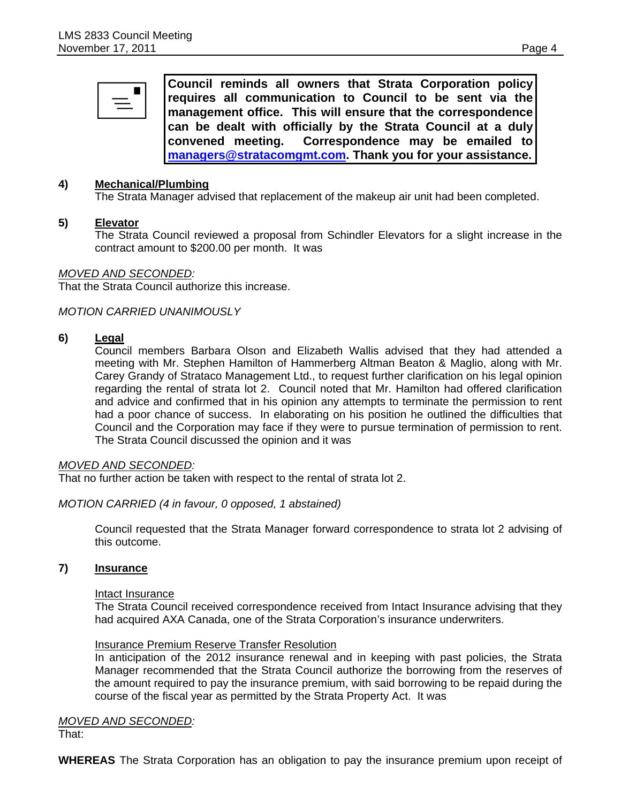| $\equiv$ $\bar{}$ | Council reminds all owners that Strata Corporation policy<br>requires all communication to Council to be sent via the |
|-------------------|-----------------------------------------------------------------------------------------------------------------------|
|                   | Imanagement office. This will ensure that the correspondence                                                          |
|                   | can be dealt with officially by the Strata Council at a duly                                                          |
|                   | convened meeting. Correspondence may be emailed to                                                                    |
|                   | managers@stratacomgmt.com. Thank you for your assistance.                                                             |

## **4) Mechanical/Plumbing**

The Strata Manager advised that replacement of the makeup air unit had been completed.

## **5) Elevator**

 The Strata Council reviewed a proposal from Schindler Elevators for a slight increase in the contract amount to \$200.00 per month. It was

## *MOVED AND SECONDED:*

That the Strata Council authorize this increase.

## *MOTION CARRIED UNANIMOUSLY*

## **6) Legal**

 Council members Barbara Olson and Elizabeth Wallis advised that they had attended a meeting with Mr. Stephen Hamilton of Hammerberg Altman Beaton & Maglio, along with Mr. Carey Grandy of Strataco Management Ltd., to request further clarification on his legal opinion regarding the rental of strata lot 2. Council noted that Mr. Hamilton had offered clarification and advice and confirmed that in his opinion any attempts to terminate the permission to rent had a poor chance of success. In elaborating on his position he outlined the difficulties that Council and the Corporation may face if they were to pursue termination of permission to rent. The Strata Council discussed the opinion and it was

## *MOVED AND SECONDED:*

That no further action be taken with respect to the rental of strata lot 2.

## *MOTION CARRIED (4 in favour, 0 opposed, 1 abstained)*

 Council requested that the Strata Manager forward correspondence to strata lot 2 advising of this outcome.

## **7) Insurance**

#### Intact Insurance

The Strata Council received correspondence received from Intact Insurance advising that they had acquired AXA Canada, one of the Strata Corporation's insurance underwriters.

#### Insurance Premium Reserve Transfer Resolution

In anticipation of the 2012 insurance renewal and in keeping with past policies, the Strata Manager recommended that the Strata Council authorize the borrowing from the reserves of the amount required to pay the insurance premium, with said borrowing to be repaid during the course of the fiscal year as permitted by the Strata Property Act. It was

# *MOVED AND SECONDED:*

That:

**WHEREAS** The Strata Corporation has an obligation to pay the insurance premium upon receipt of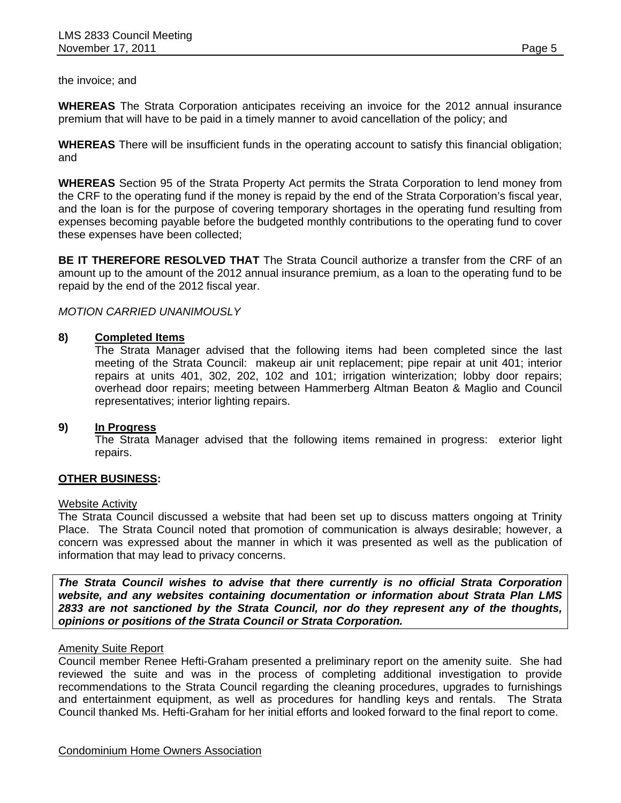the invoice; and

**WHEREAS** The Strata Corporation anticipates receiving an invoice for the 2012 annual insurance premium that will have to be paid in a timely manner to avoid cancellation of the policy; and

**WHEREAS** There will be insufficient funds in the operating account to satisfy this financial obligation; and

**WHEREAS** Section 95 of the Strata Property Act permits the Strata Corporation to lend money from the CRF to the operating fund if the money is repaid by the end of the Strata Corporation's fiscal year, and the loan is for the purpose of covering temporary shortages in the operating fund resulting from expenses becoming payable before the budgeted monthly contributions to the operating fund to cover these expenses have been collected;

**BE IT THEREFORE RESOLVED THAT** The Strata Council authorize a transfer from the CRF of an amount up to the amount of the 2012 annual insurance premium, as a loan to the operating fund to be repaid by the end of the 2012 fiscal year.

# *MOTION CARRIED UNANIMOUSLY*

# **8) Completed Items**

 The Strata Manager advised that the following items had been completed since the last meeting of the Strata Council: makeup air unit replacement; pipe repair at unit 401; interior repairs at units 401, 302, 202, 102 and 101; irrigation winterization; lobby door repairs; overhead door repairs; meeting between Hammerberg Altman Beaton & Maglio and Council representatives; interior lighting repairs.

## **9) In Progress**

The Strata Manager advised that the following items remained in progress: exterior light repairs.

# **OTHER BUSINESS:**

## Website Activity

The Strata Council discussed a website that had been set up to discuss matters ongoing at Trinity Place. The Strata Council noted that promotion of communication is always desirable; however, a concern was expressed about the manner in which it was presented as well as the publication of information that may lead to privacy concerns.

*The Strata Council wishes to advise that there currently is no official Strata Corporation website, and any websites containing documentation or information about Strata Plan LMS 2833 are not sanctioned by the Strata Council, nor do they represent any of the thoughts, opinions or positions of the Strata Council or Strata Corporation.* 

# Amenity Suite Report

Council member Renee Hefti-Graham presented a preliminary report on the amenity suite. She had reviewed the suite and was in the process of completing additional investigation to provide recommendations to the Strata Council regarding the cleaning procedures, upgrades to furnishings and entertainment equipment, as well as procedures for handling keys and rentals. The Strata Council thanked Ms. Hefti-Graham for her initial efforts and looked forward to the final report to come.